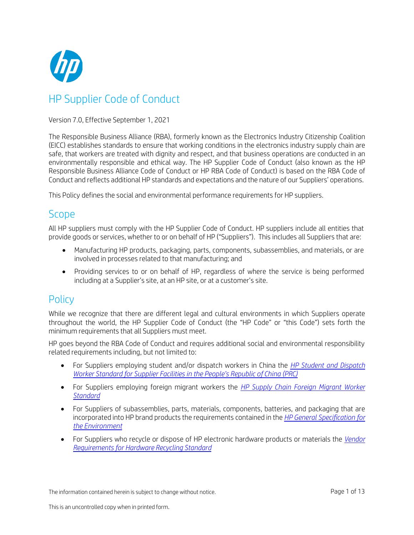

# HP Supplier Code of Conduct

### Version 7.0, Effective September 1, 2021

The Responsible Business Alliance (RBA), formerly known as the Electronics Industry Citizenship Coalition (EICC) establishes standards to ensure that working conditions in the electronics industry supply chain are safe, that workers are treated with dignity and respect, and that business operations are conducted in an environmentally responsible and ethical way. The HP Supplier Code of Conduct (also known as the HP Responsible Business Alliance Code of Conduct or HP RBA Code of Conduct) is based on the RBA Code of Conduct and reflects additional HP standards and expectations and the nature of our Suppliers' operations.

This Policy defines the social and environmental performance requirements for HP suppliers.

## Scope

All HP suppliers must comply with the HP Supplier Code of Conduct. HP suppliers include all entities that provide goods or services, whether to or on behalf of HP ("Suppliers"). This includes all Suppliers that are:

- Manufacturing HP products, packaging, parts, components, subassemblies, and materials, or are involved in processes related to that manufacturing; and
- Providing services to or on behalf of HP, regardless of where the service is being performed including at a Supplier's site, at an HP site, or at a customer's site.

## **Policy**

While we recognize that there are different legal and cultural environments in which Suppliers operate throughout the world, the HP Supplier Code of Conduct (the "HP Code" or "this Code") sets forth the minimum requirements that all Suppliers must meet.

HP goes beyond the RBA Code of Conduct and requires additional social and environmental responsibility related requirements including, but not limited to:

- For Suppliers employing student and/or dispatch workers in China the *[HP Student and Dispatch](http://h20195.www2.hp.com/V2/GetDocument.aspx?docname=c04919583) Worker Standard for Supplier [Facilities in the People's](http://h20195.www2.hp.com/V2/GetDocument.aspx?docname=c04919583) Republic of China (PRC)*
- For Suppliers employing foreign migrant workers the *[HP Supply Chain Foreign Migrant Worker](http://h20195.www2.hp.com/V2/GetDocument.aspx?docname=c04484646) [Standard](http://h20195.www2.hp.com/V2/GetDocument.aspx?docname=c04484646)*
- For Suppliers of subassemblies, parts, materials, components, batteries, and packaging that are incorporated into HP brand products the requirements contained in the *HP [General Specification for](http://www8.hp.com/us/en/hp-information/global-citizenship/society/general-specification-for-the-environment.html) the [Environment](http://www8.hp.com/us/en/hp-information/global-citizenship/society/general-specification-for-the-environment.html)*
- For Suppliers who recycle or dispose of HP electronic hardware products or materials the *[Vendor](http://www.hp.com/hpinfo/globalcitizenship/environment/recycle/finalrecstds.pdf) [Requirements for Hardware](http://www.hp.com/hpinfo/globalcitizenship/environment/recycle/finalrecstds.pdf) Recycling Standard*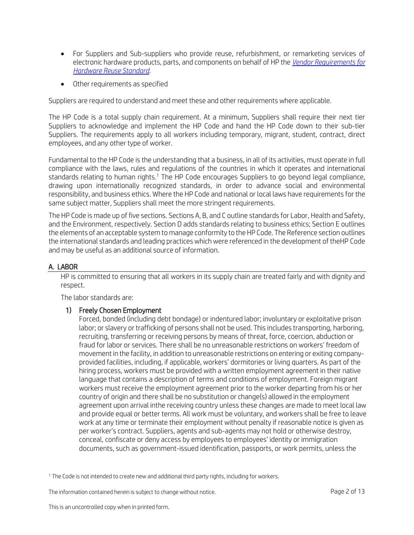- For Suppliers and Sub-suppliers who provide reuse, refurbishment, or remarketing services of electronic hardware products, parts, and components on behalf of HP the *Vendor [Requirements](http://www.hp.com/hpinfo/globalcitizenship/environment/recycle/finalreustds.pdf) for [Hardware](http://www.hp.com/hpinfo/globalcitizenship/environment/recycle/finalreustds.pdf) Reuse Standard.*
- Other requirements as specified

Suppliers are required to understand and meet these and other requirements where applicable.

The HP Code is a total supply chain requirement. At a minimum, Suppliers shall require their next tier Suppliers to acknowledge and implement the HP Code and hand the HP Code down to their sub-tier Suppliers. The requirements apply to all workers including temporary, migrant, student, contract, direct employees, and any other type of worker.

Fundamental to the HP Code is the understanding that a business, in all of its activities, must operate in full compliance with the laws, rules and regulations of the countries in which it operates and international standards relating to human rights.<sup>1</sup> The HP Code encourages Suppliers to go beyond legal compliance, drawing upon internationally recognized standards, in order to advance social and environmental responsibility, and business ethics. Where the HP Code and national or local laws have requirements for the same subject matter, Suppliers shall meet the more stringent requirements.

The HP Code is made up of five sections. Sections A, B, and C outline standards for Labor, Health and Safety, and the Environment, respectively. Section D adds standards relating to business ethics; Section E outlines the elements of an acceptable system to manage conformity to the HP Code. The Reference section outlines the international standards and leading practices which were referenced in the development of theHP Code and may be useful as an additional source of information.

## A. LABOR

HP is committed to ensuring that all workers in its supply chain are treated fairly and with dignity and respect.

The labor standards are:

## 1) Freely Chosen Employment

Forced, bonded (including debt bondage) or indentured labor; involuntary or exploitative prison labor; or slavery or trafficking of persons shall not be used. This includes transporting, harboring, recruiting, transferring or receiving persons by means of threat, force, coercion, abduction or fraud for labor or services. There shall be no unreasonable restrictions on workers' freedom of movement in the facility, in addition to unreasonable restrictions on entering or exiting companyprovided facilities, including, if applicable, workers' dormitories or living quarters. As part of the hiring process, workers must be provided with a written employment agreement in their native language that contains a description of terms and conditions of employment. Foreign migrant workers must receive the employment agreement prior to the worker departing from his or her country of origin and there shall be no substitution or change(s) allowed in the employment agreement upon arrival inthe receiving country unless these changes are made to meet local law and provide equal or better terms. All work must be voluntary, and workers shall be free to leave work at any time or terminate their employment without penalty if reasonable notice is given as per worker's contract. Suppliers, agents and sub-agents may not hold or otherwise destroy, conceal, confiscate or deny access by employees to employees' identity or immigration documents, such as government-issued identification, passports, or work permits, unless the

<sup>1</sup> The Code is not intended to create new and additional third party rights, including for workers.

The information contained herein is subject to change without notice. The example of the example 2 of 13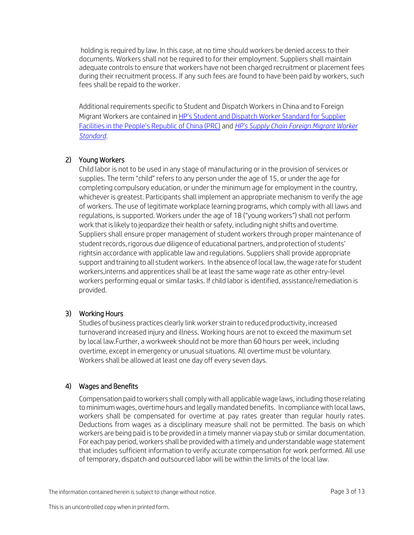holding is required by law. In this case, at no time should workers be denied access to their documents. Workers shall not be required to for their employment. Suppliers shall maintain adequate controls to ensure that workers have not been charged recruitment or placement fees during their recruitment process. If any such fees are found to have been paid by workers, such fees shall be repaid to the worker.

Additional requirements specific to Student and Dispatch Workers in China and to Foreign Migrant Workers are contained i[n HP's Student and Dispatch Worker Standard for Supplier](http://www.hp.com/hpinfo/globalcitizenship/environment/pdf/workerguidancestd_PRC.pdf) [Facilities in the People's Republic of China \(PRC\)](http://www.hp.com/hpinfo/globalcitizenship/environment/pdf/workerguidancestd_PRC.pdf) and *[HP's Supply Chain Foreign Migrant Worker](http://h20195.www2.hp.com/V2/GetDocument.aspx?docname=c04484646) [Standard](http://h20195.www2.hp.com/V2/GetDocument.aspx?docname=c04484646)*.

## 2) Young Workers

Child labor is not to be used in any stage of manufacturing or in the provision of services or supplies. The term "child" refers to any person under the age of 15, or under the age for completing compulsory education, or under the minimum age for employment in the country, whichever is greatest. Participants shall implement an appropriate mechanism to verify the age of workers. The use of legitimate workplace learning programs, which comply with all laws and regulations, is supported. Workers under the age of 18 ("young workers") shall not perform work that is likely to jeopardize their health or safety, including night shifts and overtime. Suppliers shall ensure proper management of student workers through proper maintenance of student records, rigorous due diligence of educational partners, and protection of students' rightsin accordance with applicable law and regulations. Suppliers shall provide appropriate support and training to all student workers. In the absence of local law, the wage rate for student workers,interns and apprentices shall be at least the same wage rate as other entry-level workers performing equal or similar tasks. If child labor is identified, assistance/remediation is provided.

## 3) Working Hours

Studies of business practices clearly link worker strain to reduced productivity, increased turnoverand increased injury and illness. Working hours are not to exceed the maximum set by local law.Further, a workweek should not be more than 60 hours per week, including overtime, except in emergency or unusual situations. All overtime must be voluntary. Workers shall be allowed at least one day off every seven days.

## 4) Wages and Benefits

Compensation paid toworkers shall comply with all applicablewage laws, including those relating to minimum wages, overtime hours and legally mandated benefits. In compliance with local laws, workers shall be compensated for overtime at pay rates greater than regular hourly rates. Deductions from wages as a disciplinary measure shall not be permitted. The basis on which workers are being paid is to be provided in a timely manner via pay stub or similar documentation. For each pay period, workers shall be provided with a timely and understandable wage statement that includes sufficient information to verify accurate compensation for work performed. All use of temporary, dispatch and outsourced labor will be within the limits of the local law.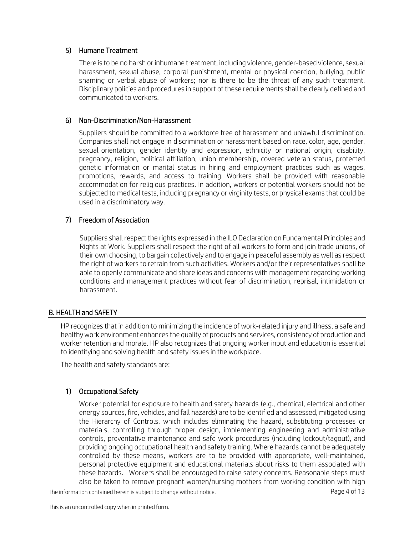## 5) Humane Treatment

There is to be no harsh or inhumane treatment, including violence, gender-based violence, sexual harassment, sexual abuse, corporal punishment, mental or physical coercion, bullying, public shaming or verbal abuse of workers; nor is there to be the threat of any such treatment. Disciplinary policies and procedures in support of these requirements shall be clearly defined and communicated to workers.

## 6) Non-Discrimination/Non-Harassment

Suppliers should be committed to a workforce free of harassment and unlawful discrimination. Companies shall not engage in discrimination or harassment based on race, color, age, gender, sexual orientation, gender identity and expression, ethnicity or national origin, disability, pregnancy, religion, political affiliation, union membership, covered veteran status, protected genetic information or marital status in hiring and employment practices such as wages, promotions, rewards, and access to training. Workers shall be provided with reasonable accommodation for religious practices. In addition, workers or potential workers should not be subjected to medical tests, including pregnancy or virginity tests, or physical exams that could be used in a discriminatory way.

## 7) Freedom of Association

Suppliers shall respect the rights expressed in the ILO Declaration on Fundamental Principles and Rights at Work. Suppliers shall respect the right of all workers to form and join trade unions, of their own choosing, to bargain collectively and to engage in peaceful assembly as well as respect the right of workers to refrain from such activities. Workers and/or their representatives shall be able to openly communicate and share ideas and concerns with management regarding working conditions and management practices without fear of discrimination, reprisal, intimidation or harassment.

## B. HEALTH and SAFETY

HP recognizes that in addition to minimizing the incidence of work-related injury and illness, a safe and healthy work environment enhances the quality of products and services, consistency of production and worker retention and morale. HP also recognizes that ongoing worker input and education is essential to identifying and solving health and safety issues in the workplace.

The health and safety standards are:

## 1) Occupational Safety

Worker potential for exposure to health and safety hazards (e.g., chemical, electrical and other energy sources, fire, vehicles, and fall hazards) are to be identified and assessed, mitigated using the Hierarchy of Controls, which includes eliminating the hazard, substituting processes or materials, controlling through proper design, implementing engineering and administrative controls, preventative maintenance and safe work procedures (including lockout/tagout), and providing ongoing occupational health and safety training. Where hazards cannot be adequately controlled by these means, workers are to be provided with appropriate, well-maintained, personal protective equipment and educational materials about risks to them associated with these hazards. Workers shall be encouraged to raise safety concerns. Reasonable steps must also be taken to remove pregnant women/nursing mothers from working condition with high

The information contained herein is subject to change without notice. The information contained herein is subject to change without notice.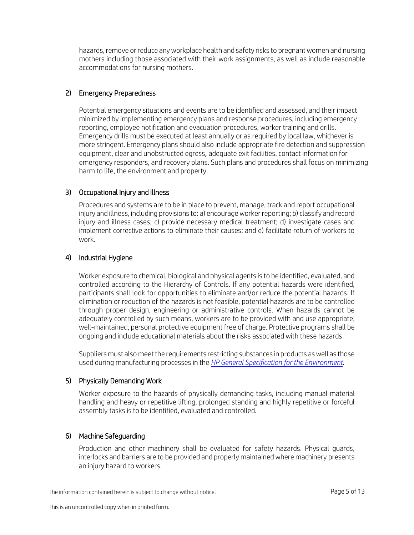hazards, remove or reduce any workplace health and safety risks to pregnant women and nursing mothers including those associated with their work assignments, as well as include reasonable accommodations for nursing mothers.

## 2) Emergency Preparedness

Potential emergency situations and events are to be identified and assessed, and their impact minimized by implementing emergency plans and response procedures, including emergency reporting, employee notification and evacuation procedures, worker training and drills. Emergency drills must be executed at least annually or as required by local law, whichever is more stringent. Emergency plans should also include appropriate fire detection and suppression equipment, clear and unobstructed egress, adequate exit facilities, contact information for emergency responders, and recovery plans. Such plans and procedures shall focus on minimizing harm to life, the environment and property.

## 3) Occupational Injury and Illness

Procedures and systems are to be in place to prevent, manage, track and report occupational injury and illness, including provisions to: a) encourage worker reporting; b) classify and record injury and illness cases; c) provide necessary medical treatment; d) investigate cases and implement corrective actions to eliminate their causes; and e) facilitate return of workers to work.

#### 4) Industrial Hygiene

Worker exposure to chemical, biological and physical agents is to be identified, evaluated, and controlled according to the Hierarchy of Controls. If any potential hazards were identified, participants shall look for opportunities to eliminate and/or reduce the potential hazards. If elimination or reduction of the hazards is not feasible, potential hazards are to be controlled through proper design, engineering or administrative controls. When hazards cannot be adequately controlled by such means, workers are to be provided with and use appropriate, well-maintained, personal protective equipment free of charge. Protective programs shall be ongoing and include educational materials about the risks associated with these hazards.

Suppliers must also meet the requirements restricting substances in products as well as those used during manufacturing processes in the *HP General Specification for [the Environment](http://www8.hp.com/us/en/hp-information/global-citizenship/society/general-specification-for-the-environment.html)*.

## 5) Physically Demanding Work

Worker exposure to the hazards of physically demanding tasks, including manual material handling and heavy or repetitive lifting, prolonged standing and highly repetitive or forceful assembly tasks is to be identified, evaluated and controlled.

#### 6) Machine Safeguarding

Production and other machinery shall be evaluated for safety hazards. Physical guards, interlocks and barriers are to be provided and properly maintained where machinery presents an injury hazard to workers.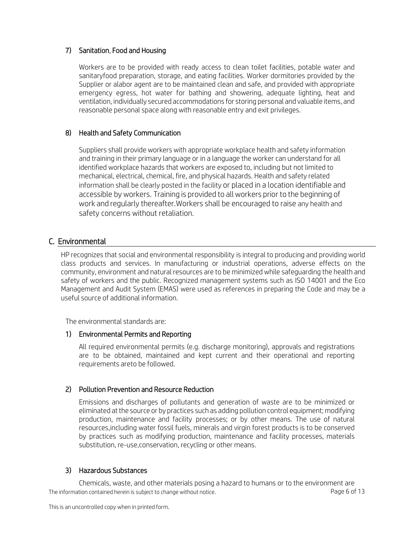## 7) Sanitation, Food and Housing

Workers are to be provided with ready access to clean toilet facilities, potable water and sanitaryfood preparation, storage, and eating facilities. Worker dormitories provided by the Supplier or alabor agent are to be maintained clean and safe, and provided with appropriate emergency egress, hot water for bathing and showering, adequate lighting, heat and ventilation, individually secured accommodations for storing personal and valuable items, and reasonable personal space along with reasonable entry and exit privileges.

## 8) Health and Safety Communication

Suppliers shall provide workers with appropriate workplace health and safety information and training in their primary language or in a language the worker can understand for all identified workplace hazards that workers are exposed to, including but not limited to mechanical, electrical, chemical, fire, and physical hazards. Health and safety related information shall be clearly posted in the facility or placed in a location identifiable and accessible by workers. Training is provided to all workers prior to the beginning of work and regularly thereafter.Workers shall be encouraged to raise any health and safety concerns without retaliation.

## C. Environmental

HP recognizes that social and environmental responsibility is integral to producing and providing world class products and services. In manufacturing or industrial operations, adverse effects on the community, environment and natural resources are to be minimized while safeguarding the health and safety of workers and the public. Recognized management systems such as ISO 14001 and the Eco Management and Audit System (EMAS) were used as references in preparing the Code and may be a useful source of additional information.

The environmental standards are:

## 1) Environmental Permits and Reporting

All required environmental permits (e.g. discharge monitoring), approvals and registrations are to be obtained, maintained and kept current and their operational and reporting requirements areto be followed.

## 2) Pollution Prevention and Resource Reduction

Emissions and discharges of pollutants and generation of waste are to be minimized or eliminated at the source or by practices such as adding pollution control equipment; modifying production, maintenance and facility processes; or by other means. The use of natural resources,including water fossil fuels, minerals and virgin forest products is to be conserved by practices such as modifying production, maintenance and facility processes, materials substitution, re-use,conservation, recycling or other means.

## 3) Hazardous Substances

The information contained herein is subject to change without notice. The example of the state of 13 Chemicals, waste, and other materials posing a hazard to humans or to the environment are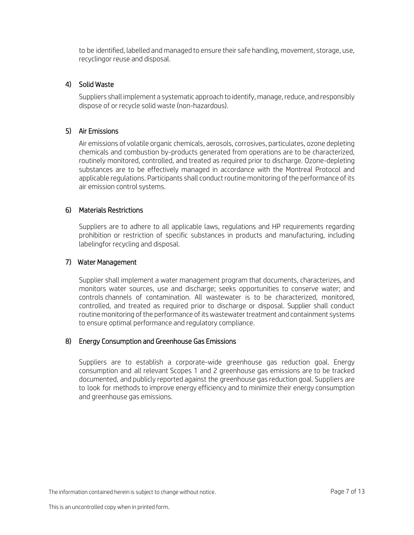to be identified, labelled and managed to ensure their safe handling, movement, storage, use, recyclingor reuse and disposal.

#### 4) Solid Waste

Suppliers shall implement a systematic approach to identify, manage, reduce, and responsibly dispose of or recycle solid waste (non-hazardous).

#### 5) Air Emissions

Air emissions of volatile organic chemicals, aerosols, corrosives, particulates, ozone depleting chemicals and combustion by-products generated from operations are to be characterized, routinely monitored, controlled, and treated as required prior to discharge. Ozone-depleting substances are to be effectively managed in accordance with the Montreal Protocol and applicable regulations. Participants shall conduct routine monitoring of the performance of its air emission control systems.

#### 6) Materials Restrictions

Suppliers are to adhere to all applicable laws, regulations and HP requirements regarding prohibition or restriction of specific substances in products and manufacturing, including labelingfor recycling and disposal.

#### 7) Water Management

Supplier shall implement a water management program that documents, characterizes, and monitors water sources, use and discharge; seeks opportunities to conserve water; and controls channels of contamination. All wastewater is to be characterized, monitored, controlled, and treated as required prior to discharge or disposal. Supplier shall conduct routine monitoring of the performance of itswastewater treatment and containment systems to ensure optimal performance and regulatory compliance.

#### 8) Energy Consumption and Greenhouse Gas Emissions

Suppliers are to establish a corporate-wide greenhouse gas reduction goal. Energy consumption and all relevant Scopes 1 and 2 greenhouse gas emissions are to be tracked documented, and publicly reported against the greenhouse gas reduction goal. Suppliers are to look for methods to improve energy efficiency and to minimize their energy consumption and greenhouse gas emissions.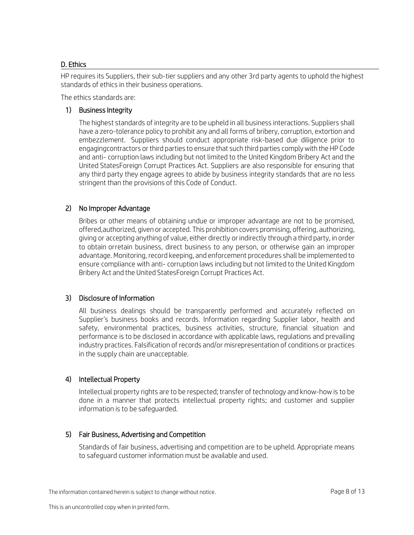## D. Ethics

HP requires its Suppliers, their sub-tier suppliers and any other 3rd party agents to uphold the highest standards of ethics in their business operations.

The ethics standards are:

## 1) Business Integrity

The highest standards of integrity are to be upheld in all business interactions. Suppliers shall have a zero-tolerance policy to prohibit any and all forms of bribery, corruption, extortion and embezzlement. Suppliers should conduct appropriate risk-based due diligence prior to engagingcontractors or third parties to ensure that such third parties comply with the HP Code and anti- corruption laws including but not limited to the United Kingdom Bribery Act and the United StatesForeign Corrupt Practices Act. Suppliers are also responsible for ensuring that any third party they engage agrees to abide by business integrity standards that are no less stringent than the provisions of this Code of Conduct.

## 2) No Improper Advantage

Bribes or other means of obtaining undue or improper advantage are not to be promised, offered,authorized, given or accepted. This prohibition covers promising, offering, authorizing, giving or accepting anything of value, either directly or indirectly through a third party, in order to obtain orretain business, direct business to any person, or otherwise gain an improper advantage. Monitoring, record keeping, and enforcement procedures shall be implemented to ensure compliance with anti- corruption laws including but not limited to the United Kingdom Bribery Act and the United StatesForeign Corrupt Practices Act.

## 3) Disclosure of Information

All business dealings should be transparently performed and accurately reflected on Supplier's business books and records. Information regarding Supplier labor, health and safety, environmental practices, business activities, structure, financial situation and performance is to be disclosed in accordance with applicable laws, regulations and prevailing industry practices. Falsification of records and/or misrepresentation of conditions or practices in the supply chain are unacceptable.

## 4) Intellectual Property

Intellectual property rights are to be respected; transfer of technology and know-how is to be done in a manner that protects intellectual property rights; and customer and supplier information is to be safeguarded.

## 5) Fair Business, Advertising and Competition

Standards of fair business, advertising and competition are to be upheld. Appropriate means to safeguard customer information must be available and used.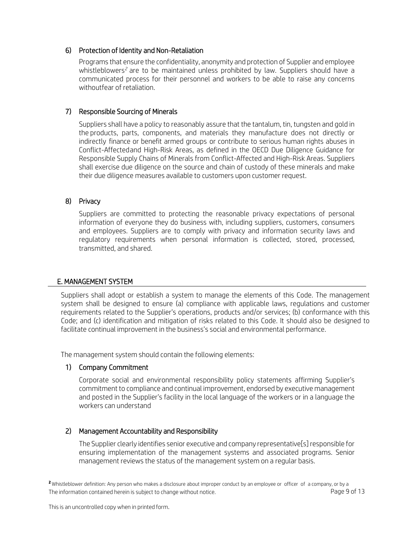## 6) Protection of Identity and Non-Retaliation

Programs that ensure the confidentiality, anonymity and protection of Supplier and employee whistleblowers*<sup>2</sup>* are to be maintained unless prohibited by law. Suppliers should have a communicated process for their personnel and workers to be able to raise any concerns withoutfear of retaliation.

## 7) Responsible Sourcing of Minerals

Suppliers shall have a policy to reasonably assure that the tantalum, tin, tungsten and gold in the products, parts, components, and materials they manufacture does not directly or indirectly finance or benefit armed groups or contribute to serious human rights abuses in Conflict-Affectedand High-Risk Areas, as defined in the OECD Due Diligence Guidance for Responsible Supply Chains of Minerals from Conflict-Affected and High-Risk Areas. Suppliers shall exercise due diligence on the source and chain of custody of these minerals and make their due diligence measures available to customers upon customer request.

## 8) Privacy

Suppliers are committed to protecting the reasonable privacy expectations of personal information of everyone they do business with, including suppliers, customers, consumers and employees. Suppliers are to comply with privacy and information security laws and regulatory requirements when personal information is collected, stored, processed, transmitted, and shared.

## E. MANAGEMENT SYSTEM

Suppliers shall adopt or establish a system to manage the elements of this Code. The management system shall be designed to ensure (a) compliance with applicable laws, regulations and customer requirements related to the Supplier's operations, products and/or services; (b) conformance with this Code; and (c) identification and mitigation of risks related to this Code. It should also be designed to facilitate continual improvement in the business's social and environmental performance.

The management system should contain the following elements:

## 1) Company Commitment

Corporate social and environmental responsibility policy statements affirming Supplier's commitment to compliance and continual improvement, endorsed by executive management and posted in the Supplier's facility in the local language of the workers or in a language the workers can understand

## 2) Management Accountability and Responsibility

The Supplier clearly identifies senior executive and company representative[s] responsible for ensuring implementation of the management systems and associated programs. Senior management reviews the status of the management system on a regular basis.

The information contained herein is subject to change without notice. Page 9 of 13 **<sup>2</sup>** Whistleblower definition: Any person who makes a disclosure about improper conduct by an employee or officer of a company, or by a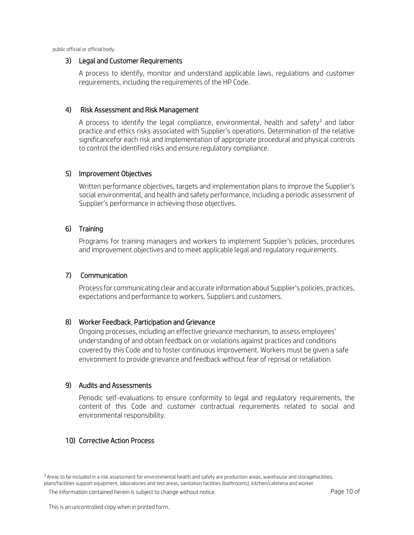public official or official body.

#### 3) Legal and Customer Requirements

A process to identify, monitor and understand applicable laws, regulations and customer requirements, including the requirements of the HP Code.

#### 4) Risk Assessment and Risk Management

A process to identify the legal compliance, environmental, health and safety<sup>3</sup> and labor practice and ethics risks associated with Supplier's operations. Determination of the relative significancefor each risk and implementation of appropriate procedural and physical controls to control the identified risks and ensure regulatory compliance.

#### 5) Improvement Objectives

Written performance objectives, targets and implementation plans to improve the Supplier's social environmental, and health and safety performance, including a periodic assessment of Supplier's performance in achieving those objectives.

#### 6) Training

Programs for training managers and workers to implement Supplier's policies, procedures and improvement objectives and to meet applicable legal and regulatory requirements.

#### 7) Communication

Process for communicating clear and accurate information about Supplier's policies, practices, expectations and performance to workers, Suppliers and customers.

#### 8) Worker Feedback, Participation and Grievance

Ongoing processes, including an effective grievance mechanism, to assess employees' understanding of and obtain feedback on or violations against practices and conditions covered by this Code and to foster continuous improvement. Workers must be given a safe environment to provide grievance and feedback without fear of reprisal or retaliation.

#### 9) Audits and Assessments

Periodic self-evaluations to ensure conformity to legal and regulatory requirements, the content of this Code and customer contractual requirements related to social and environmental responsibility.

#### 10) Corrective Action Process

<sup>3</sup> Areas to be included in a risk assessment for environmental health and safety are production areas, warehouse and storagefacilities, plant/facilities support equipment, laboratories and test areas, sanitation facilities (bathrooms), kitchen/cafeteria and worker

The information contained herein is subject to change without notice. The example of the state of the Page 10 of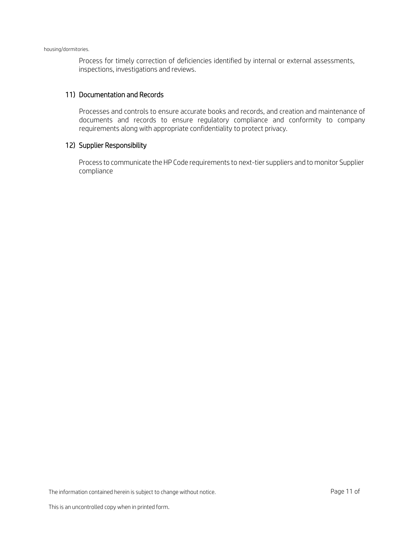Process for timely correction of deficiencies identified by internal or external assessments, inspections, investigations and reviews.

#### 11) Documentation and Records

Processes and controls to ensure accurate books and records, and creation and maintenance of documents and records to ensure regulatory compliance and conformity to company requirements along with appropriate confidentiality to protect privacy.

#### 12) Supplier Responsibility

Process to communicate the HP Code requirements to next-tier suppliers and to monitor Supplier compliance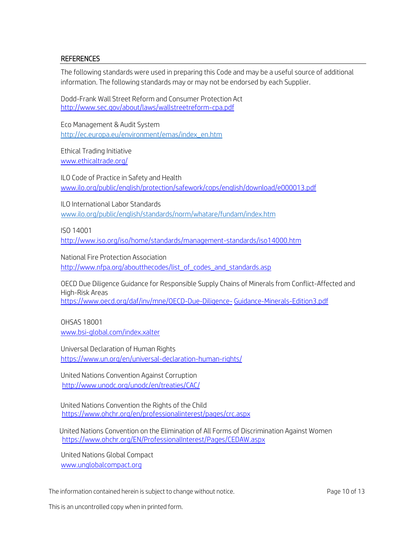#### REFERENCES

The following standards were used in preparing this Code and may be a useful source of additional information. The following standards may or may not be endorsed by each Supplier.

Dodd-Frank Wall Street Reform and Consumer Protection Act <http://www.sec.gov/about/laws/wallstreetreform-cpa.pdf>

Eco Management & Audit System [http://ec.europa.eu/environment/emas/index\\_en.htm](http://ec.europa.eu/environment/emas/index_en.htm)

Ethical Trading Initiative [www.ethicaltrade.org/](http://www.ethicaltrade.org/)

ILO Code of Practice in Safety and Health [www.ilo.org/public/english/protection/safework/cops/english/download/e000013.pdf](http://www.ilo.org/public/english/protection/safework/cops/english/download/e000013.pdf)

ILO International Labor Standards [www.ilo.org/public/english/standards/norm/whatare/fundam/index.htm](http://www.ilo.org/public/english/standards/norm/whatare/fundam/index.htm)

ISO 14001

<http://www.iso.org/iso/home/standards/management-standards/iso14000.htm>

National Fire Protection Association [http://www.nfpa.org/aboutthecodes/list\\_of\\_codes\\_and\\_standards.asp](http://www.nfpa.org/aboutthecodes/list_of_codes_and_standards.asp)

OECD Due Diligence Guidance for Responsible Supply Chains of Minerals from Conflict-Affected and High-Risk Areas <https://www.oecd.org/daf/inv/mne/OECD-Due-Diligence-> [Guidance-Minerals-Edition3.pdf](https://www.oecd.org/daf/inv/mne/OECD-Due-Diligence-Guidance-Minerals-Edition3.pdf)

OHSAS 18001 [www.bsi-global.com/index.xalter](http://www.bsi-global.com/index.xalter)

Universal Declaration of Human Rights <https://www.un.org/en/universal-declaration-human->[rights/](https://www.un.org/en/universal-declaration-human-rights/)

United Nations Convention Against Corruption <http://www.unodc.org/unodc/en/treaties/CAC/>

United Nations Convention the Rights of the Child <https://www.ohchr.org/en/professionalinterest/pages/crc.aspx>

 United Nations Convention on the Elimination of All Forms of Discrimination Against Women <https://www.ohchr.org/EN/ProfessionalInterest/Pages/CEDAW.aspx>

United Nations Global Compact [www.unglobalcompact.org](http://www.unglobalcompact.org/)

The information contained herein is subject to change without notice. The information contained herein is subject to change without notice.

This is an uncontrolled copy when in printed form.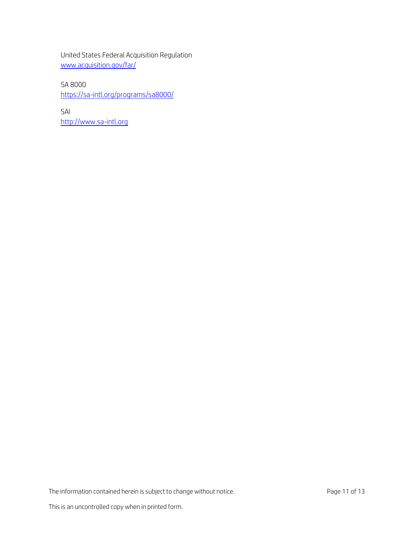United States Federal Acquisition Regulation [www.acquisition.gov/far/](http://www.acquisition.gov/far/)

SA 8000 <https://sa-intl.org/programs/sa8000/>

SAI [http://www.sa-intl.org](http://www.sa-intl.org/)

The information contained herein is subject to change without notice. Page 11 of 13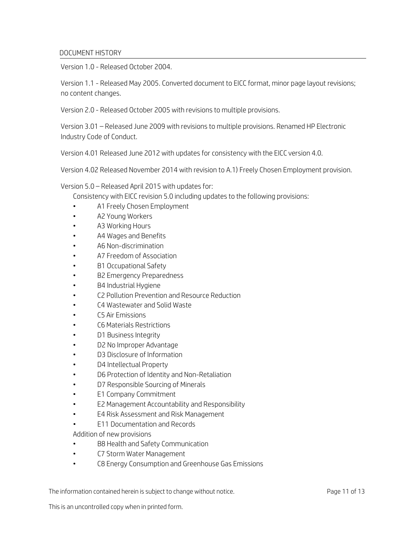#### DOCUMENT HISTORY

Version 1.0 - Released October 2004.

Version 1.1 - Released May 2005. Converted document to EICC format, minor page layout revisions; no content changes.

Version 2.0 - Released October 2005 with revisions to multiple provisions.

Version 3.01 – Released June 2009 with revisions to multiple provisions. Renamed HP Electronic Industry Code of Conduct.

Version 4.01 Released June 2012 with updates for consistency with the EICC version 4.0.

Version 4.02 Released November 2014 with revision to A.1) Freely Chosen Employment provision.

Version 5.0 – Released April 2015 with updates for:

Consistency with EICC revision 5.0 including updates to the following provisions:

- A1 Freely Chosen Employment
- A2 Young Workers
- A3 Working Hours
- A4 Wages and Benefits
- A6 Non-discrimination
- A7 Freedom of Association
- B1 Occupational Safety
- B2 Emergency Preparedness
- B4 Industrial Hygiene
- C2 Pollution Prevention and Resource Reduction
- C4 Wastewater and Solid Waste
- C5 Air Emissions
- C6 Materials Restrictions
- D1 Business Integrity
- D2 No Improper Advantage
- D3 Disclosure of Information
- D4 Intellectual Property
- D6 Protection of Identity and Non-Retaliation
- D7 Responsible Sourcing of Minerals
- E1 Company Commitment
- E2 Management Accountability and Responsibility
- E4 Risk Assessment and Risk Management
- E11 Documentation and Records

Addition of new provisions

- B8 Health and Safety Communication
- C7 Storm Water Management
- C8 Energy Consumption and Greenhouse Gas Emissions

The information contained herein is subject to change without notice. The information contained herein is subject to change without notice.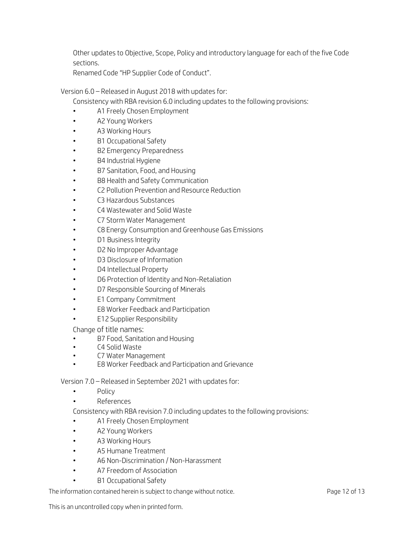Other updates to Objective, Scope, Policy and introductory language for each of the five Code sections.

Renamed Code "HP Supplier Code of Conduct".

Version 6.0 – Released in August 2018 with updates for:

Consistency with RBA revision 6.0 including updates to the following provisions:

- A1 Freely Chosen Employment
- A2 Young Workers
- A3 Working Hours
- B1 Occupational Safety
- B2 Emergency Preparedness
- B4 Industrial Hygiene
- B7 Sanitation, Food, and Housing
- B8 Health and Safety Communication
- C2 Pollution Prevention and Resource Reduction
- C3 Hazardous Substances
- C4 Wastewater and Solid Waste
- C7 Storm Water Management
- C8 Energy Consumption and Greenhouse Gas Emissions
- D1 Business Integrity
- D2 No Improper Advantage
- D3 Disclosure of Information
- D4 Intellectual Property
- D6 Protection of Identity and Non-Retaliation
- D7 Responsible Sourcing of Minerals
- E1 Company Commitment
- E8 Worker Feedback and Participation
- E12 Supplier Responsibility

Change of title names:

- B7 Food, Sanitation and Housing
- C4 Solid Waste
- C7 Water Management
- E8 Worker Feedback and Participation and Grievance

Version 7.0 – Released in September 2021 with updates for:

- Policy
- References
- Consistency with RBA revision 7.0 including updates to the following provisions:
- A1 Freely Chosen Employment
- A2 Young Workers
- A3 Working Hours
- A5 Humane Treatment
- A6 Non-Discrimination / Non-Harassment
- A7 Freedom of Association
- B1 Occupational Safety

The information contained herein is subject to change without notice. The information contained herein is subject to change without notice.

This is an uncontrolled copy when in printed form.